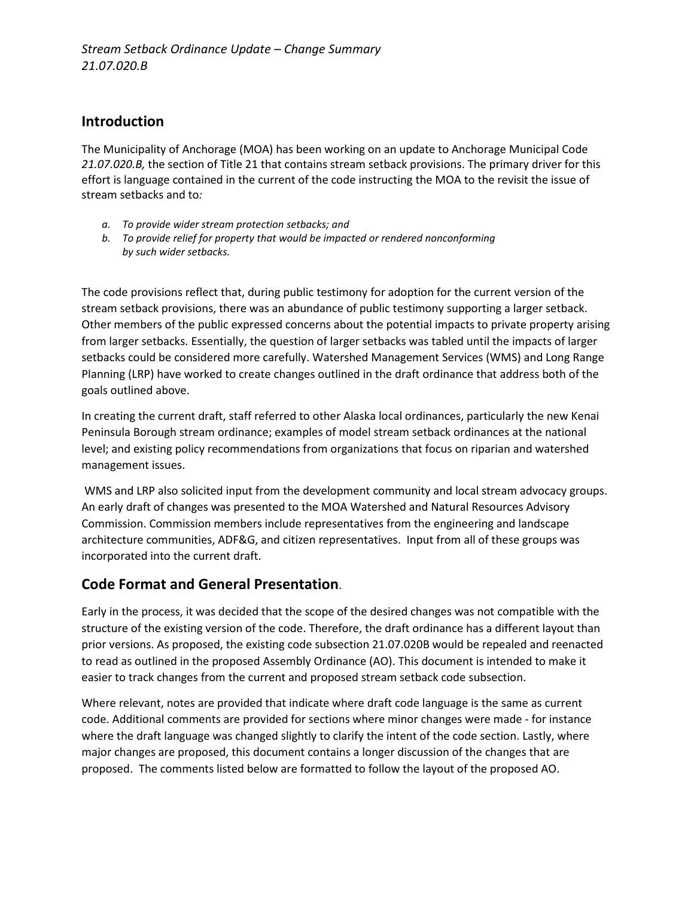# **Introduction**

The Municipality of Anchorage (MOA) has been working on an update to Anchorage Municipal Code *21.07.020.B,* the section of Title 21 that contains stream setback provisions. The primary driver for this effort is language contained in the current of the code instructing the MOA to the revisit the issue of stream setbacks and to*:*

- *a. To provide wider stream protection setbacks; and*
- *b. To provide relief for property that would be impacted or rendered nonconforming by such wider setbacks.*

The code provisions reflect that, during public testimony for adoption for the current version of the stream setback provisions, there was an abundance of public testimony supporting a larger setback. Other members of the public expressed concerns about the potential impacts to private property arising from larger setbacks. Essentially, the question of larger setbacks was tabled until the impacts of larger setbacks could be considered more carefully. Watershed Management Services (WMS) and Long Range Planning (LRP) have worked to create changes outlined in the draft ordinance that address both of the goals outlined above.

In creating the current draft, staff referred to other Alaska local ordinances, particularly the new Kenai Peninsula Borough stream ordinance; examples of model stream setback ordinances at the national level; and existing policy recommendations from organizations that focus on riparian and watershed management issues.

WMS and LRP also solicited input from the development community and local stream advocacy groups. An early draft of changes was presented to the MOA Watershed and Natural Resources Advisory Commission. Commission members include representatives from the engineering and landscape architecture communities, ADF&G, and citizen representatives. Input from all of these groups was incorporated into the current draft.

# **Code Format and General Presentation**.

Early in the process, it was decided that the scope of the desired changes was not compatible with the structure of the existing version of the code. Therefore, the draft ordinance has a different layout than prior versions. As proposed, the existing code subsection 21.07.020B would be repealed and reenacted to read as outlined in the proposed Assembly Ordinance (AO). This document is intended to make it easier to track changes from the current and proposed stream setback code subsection.

Where relevant, notes are provided that indicate where draft code language is the same as current code. Additional comments are provided for sections where minor changes were made - for instance where the draft language was changed slightly to clarify the intent of the code section. Lastly, where major changes are proposed, this document contains a longer discussion of the changes that are proposed. The comments listed below are formatted to follow the layout of the proposed AO.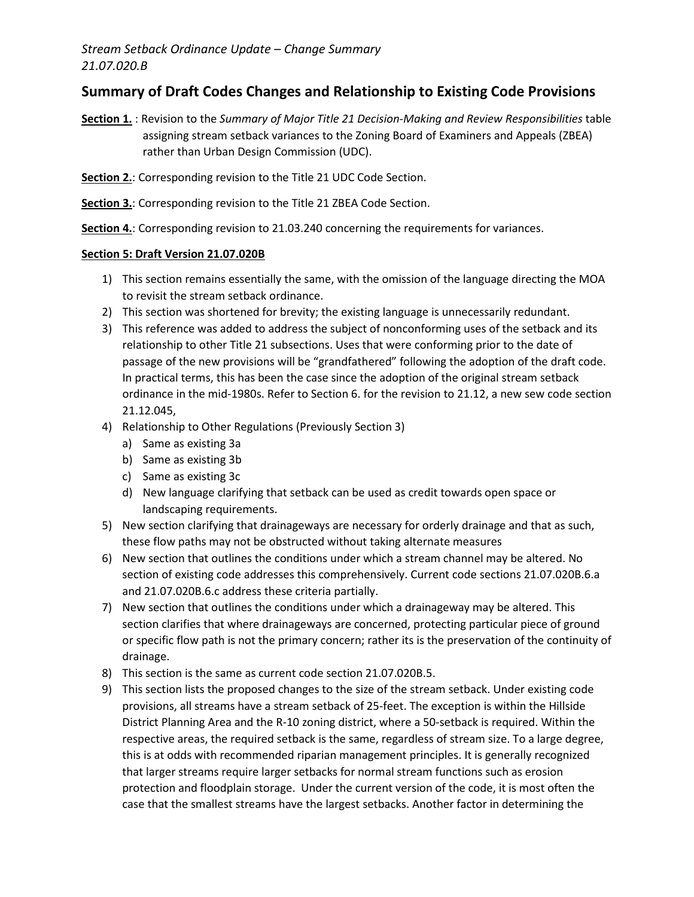# **Summary of Draft Codes Changes and Relationship to Existing Code Provisions**

- **Section 1.** : Revision to the *Summary of Major Title 21 Decision-Making and Review Responsibilities* table assigning stream setback variances to the Zoning Board of Examiners and Appeals (ZBEA) rather than Urban Design Commission (UDC).
- **Section 2.**: Corresponding revision to the Title 21 UDC Code Section.
- **Section 3.**: Corresponding revision to the Title 21 ZBEA Code Section.
- **Section 4.**: Corresponding revision to 21.03.240 concerning the requirements for variances.

#### **Section 5: Draft Version 21.07.020B**

- 1) This section remains essentially the same, with the omission of the language directing the MOA to revisit the stream setback ordinance.
- 2) This section was shortened for brevity; the existing language is unnecessarily redundant.
- 3) This reference was added to address the subject of nonconforming uses of the setback and its relationship to other Title 21 subsections. Uses that were conforming prior to the date of passage of the new provisions will be "grandfathered" following the adoption of the draft code. In practical terms, this has been the case since the adoption of the original stream setback ordinance in the mid-1980s. Refer to Section 6. for the revision to 21.12, a new sew code section 21.12.045,
- 4) Relationship to Other Regulations (Previously Section 3)
	- a) Same as existing 3a
	- b) Same as existing 3b
	- c) Same as existing 3c
	- d) New language clarifying that setback can be used as credit towards open space or landscaping requirements.
- 5) New section clarifying that drainageways are necessary for orderly drainage and that as such, these flow paths may not be obstructed without taking alternate measures
- 6) New section that outlines the conditions under which a stream channel may be altered. No section of existing code addresses this comprehensively. Current code sections 21.07.020B.6.a and 21.07.020B.6.c address these criteria partially.
- 7) New section that outlines the conditions under which a drainageway may be altered. This section clarifies that where drainageways are concerned, protecting particular piece of ground or specific flow path is not the primary concern; rather its is the preservation of the continuity of drainage.
- 8) This section is the same as current code section 21.07.020B.5.
- 9) This section lists the proposed changes to the size of the stream setback. Under existing code provisions, all streams have a stream setback of 25-feet. The exception is within the Hillside District Planning Area and the R-10 zoning district, where a 50-setback is required. Within the respective areas, the required setback is the same, regardless of stream size. To a large degree, this is at odds with recommended riparian management principles. It is generally recognized that larger streams require larger setbacks for normal stream functions such as erosion protection and floodplain storage. Under the current version of the code, it is most often the case that the smallest streams have the largest setbacks. Another factor in determining the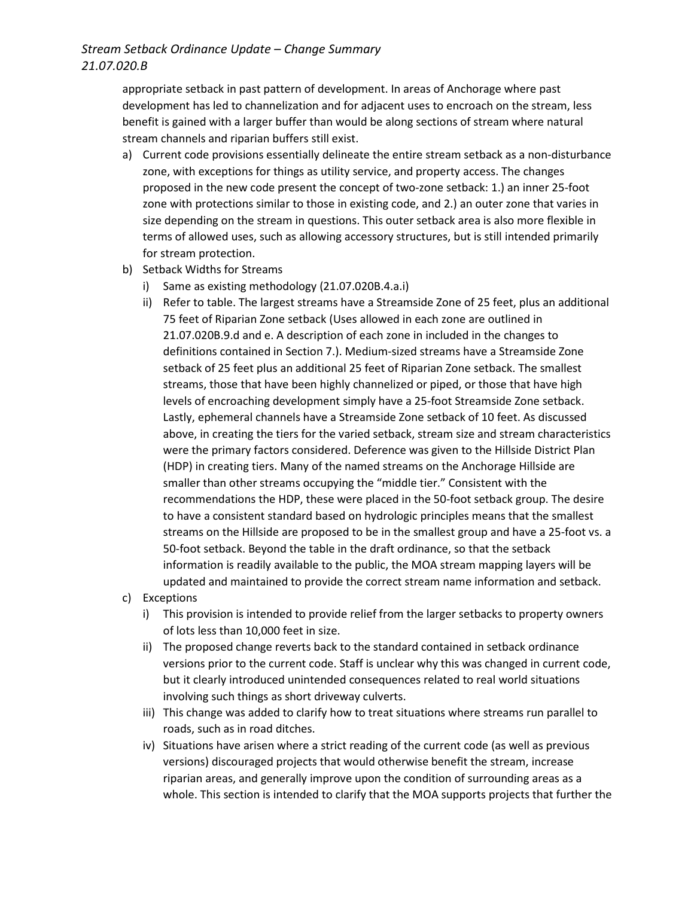## *Stream Setback Ordinance Update – Change Summary 21.07.020.B*

appropriate setback in past pattern of development. In areas of Anchorage where past development has led to channelization and for adjacent uses to encroach on the stream, less benefit is gained with a larger buffer than would be along sections of stream where natural stream channels and riparian buffers still exist.

- a) Current code provisions essentially delineate the entire stream setback as a non-disturbance zone, with exceptions for things as utility service, and property access. The changes proposed in the new code present the concept of two-zone setback: 1.) an inner 25-foot zone with protections similar to those in existing code, and 2.) an outer zone that varies in size depending on the stream in questions. This outer setback area is also more flexible in terms of allowed uses, such as allowing accessory structures, but is still intended primarily for stream protection.
- b) Setback Widths for Streams
	- i) Same as existing methodology (21.07.020B.4.a.i)
	- ii) Refer to table. The largest streams have a Streamside Zone of 25 feet, plus an additional 75 feet of Riparian Zone setback (Uses allowed in each zone are outlined in 21.07.020B.9.d and e. A description of each zone in included in the changes to definitions contained in Section 7.). Medium-sized streams have a Streamside Zone setback of 25 feet plus an additional 25 feet of Riparian Zone setback. The smallest streams, those that have been highly channelized or piped, or those that have high levels of encroaching development simply have a 25-foot Streamside Zone setback. Lastly, ephemeral channels have a Streamside Zone setback of 10 feet. As discussed above, in creating the tiers for the varied setback, stream size and stream characteristics were the primary factors considered. Deference was given to the Hillside District Plan (HDP) in creating tiers. Many of the named streams on the Anchorage Hillside are smaller than other streams occupying the "middle tier." Consistent with the recommendations the HDP, these were placed in the 50-foot setback group. The desire to have a consistent standard based on hydrologic principles means that the smallest streams on the Hillside are proposed to be in the smallest group and have a 25-foot vs. a 50-foot setback. Beyond the table in the draft ordinance, so that the setback information is readily available to the public, the MOA stream mapping layers will be updated and maintained to provide the correct stream name information and setback.
- c) Exceptions
	- i) This provision is intended to provide relief from the larger setbacks to property owners of lots less than 10,000 feet in size.
	- ii) The proposed change reverts back to the standard contained in setback ordinance versions prior to the current code. Staff is unclear why this was changed in current code, but it clearly introduced unintended consequences related to real world situations involving such things as short driveway culverts.
	- iii) This change was added to clarify how to treat situations where streams run parallel to roads, such as in road ditches.
	- iv) Situations have arisen where a strict reading of the current code (as well as previous versions) discouraged projects that would otherwise benefit the stream, increase riparian areas, and generally improve upon the condition of surrounding areas as a whole. This section is intended to clarify that the MOA supports projects that further the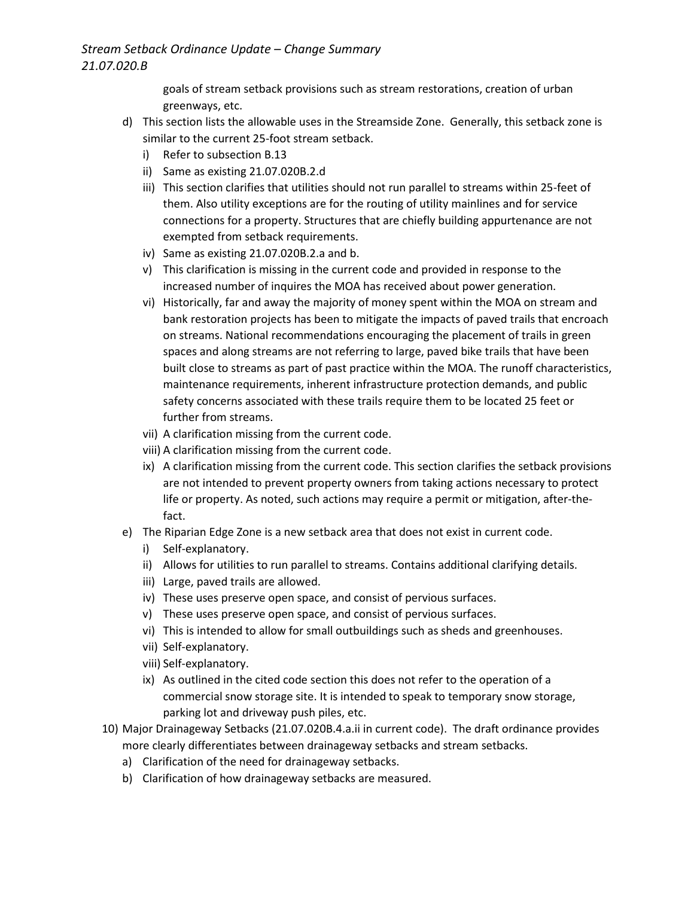## *Stream Setback Ordinance Update – Change Summary 21.07.020.B*

goals of stream setback provisions such as stream restorations, creation of urban greenways, etc.

- d) This section lists the allowable uses in the Streamside Zone. Generally, this setback zone is similar to the current 25-foot stream setback.
	- i) Refer to subsection B.13
	- ii) Same as existing 21.07.020B.2.d
	- iii) This section clarifies that utilities should not run parallel to streams within 25-feet of them. Also utility exceptions are for the routing of utility mainlines and for service connections for a property. Structures that are chiefly building appurtenance are not exempted from setback requirements.
	- iv) Same as existing 21.07.020B.2.a and b.
	- v) This clarification is missing in the current code and provided in response to the increased number of inquires the MOA has received about power generation.
	- vi) Historically, far and away the majority of money spent within the MOA on stream and bank restoration projects has been to mitigate the impacts of paved trails that encroach on streams. National recommendations encouraging the placement of trails in green spaces and along streams are not referring to large, paved bike trails that have been built close to streams as part of past practice within the MOA. The runoff characteristics, maintenance requirements, inherent infrastructure protection demands, and public safety concerns associated with these trails require them to be located 25 feet or further from streams.
	- vii) A clarification missing from the current code.
	- viii) A clarification missing from the current code.
	- ix) A clarification missing from the current code. This section clarifies the setback provisions are not intended to prevent property owners from taking actions necessary to protect life or property. As noted, such actions may require a permit or mitigation, after-thefact.
- e) The Riparian Edge Zone is a new setback area that does not exist in current code.
	- i) Self-explanatory.
	- ii) Allows for utilities to run parallel to streams. Contains additional clarifying details.
	- iii) Large, paved trails are allowed.
	- iv) These uses preserve open space, and consist of pervious surfaces.
	- v) These uses preserve open space, and consist of pervious surfaces.
	- vi) This is intended to allow for small outbuildings such as sheds and greenhouses.
	- vii) Self-explanatory.
	- viii) Self-explanatory.
	- ix) As outlined in the cited code section this does not refer to the operation of a commercial snow storage site. It is intended to speak to temporary snow storage, parking lot and driveway push piles, etc.
- 10) Major Drainageway Setbacks (21.07.020B.4.a.ii in current code). The draft ordinance provides more clearly differentiates between drainageway setbacks and stream setbacks.
	- a) Clarification of the need for drainageway setbacks.
	- b) Clarification of how drainageway setbacks are measured.